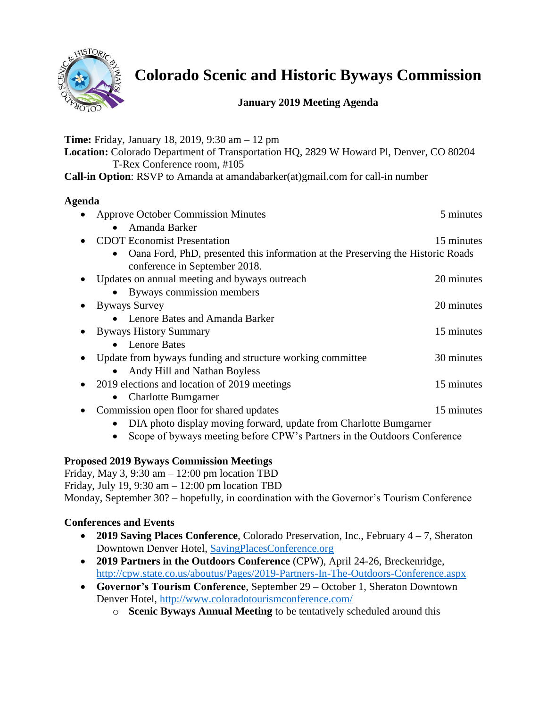

# **Colorado Scenic and Historic Byways Commission**

# **January 2019 Meeting Agenda**

**Time:** Friday, January 18, 2019, 9:30 am – 12 pm

**Location:** Colorado Department of Transportation HQ, 2829 W Howard Pl, Denver, CO 80204 T-Rex Conference room, #105

**Call-in Option**: RSVP to Amanda at amandabarker(at)gmail.com for call-in number

# **Agenda**

| <b>Approve October Commission Minutes</b>                                                                                     | 5 minutes  |
|-------------------------------------------------------------------------------------------------------------------------------|------------|
| Amanda Barker<br>$\bullet$                                                                                                    |            |
| <b>CDOT</b> Economist Presentation                                                                                            | 15 minutes |
| Oana Ford, PhD, presented this information at the Preserving the Historic Roads<br>$\bullet$<br>conference in September 2018. |            |
| Updates on annual meeting and byways outreach                                                                                 | 20 minutes |
| Byways commission members<br>$\bullet$                                                                                        |            |
| <b>Byways Survey</b>                                                                                                          | 20 minutes |
| • Lenore Bates and Amanda Barker                                                                                              |            |
| <b>Byways History Summary</b>                                                                                                 | 15 minutes |
| • Lenore Bates                                                                                                                |            |
| Update from byways funding and structure working committee                                                                    | 30 minutes |
| Andy Hill and Nathan Boyless<br>$\bullet$                                                                                     |            |
| 2019 elections and location of 2019 meetings<br>$\bullet$                                                                     | 15 minutes |
| <b>Charlotte Bumgarner</b><br>$\bullet$                                                                                       |            |
| Commission open floor for shared updates                                                                                      | 15 minutes |
| DIA photo display moving forward, update from Charlotte Bumgarner<br>$\bullet$                                                |            |

• Scope of byways meeting before CPW's Partners in the Outdoors Conference

# **Proposed 2019 Byways Commission Meetings**

Friday, May 3, 9:30 am  $- 12:00$  pm location TBD Friday, July 19, 9:30 am  $- 12:00$  pm location TBD Monday, September 30? – hopefully, in coordination with the Governor's Tourism Conference

# **Conferences and Events**

- **2019 Saving Places Conference**, Colorado Preservation, Inc., February 4 7, Sheraton Downtown Denver Hotel, [SavingPlacesConference.org](http://savingplacesconference.org/)
- **2019 Partners in the Outdoors Conference** (CPW), April 24-26, Breckenridge, <http://cpw.state.co.us/aboutus/Pages/2019-Partners-In-The-Outdoors-Conference.aspx>
- **Governor's Tourism Conference**, September 29 October 1, Sheraton Downtown Denver Hotel,<http://www.coloradotourismconference.com/>
	- o **Scenic Byways Annual Meeting** to be tentatively scheduled around this